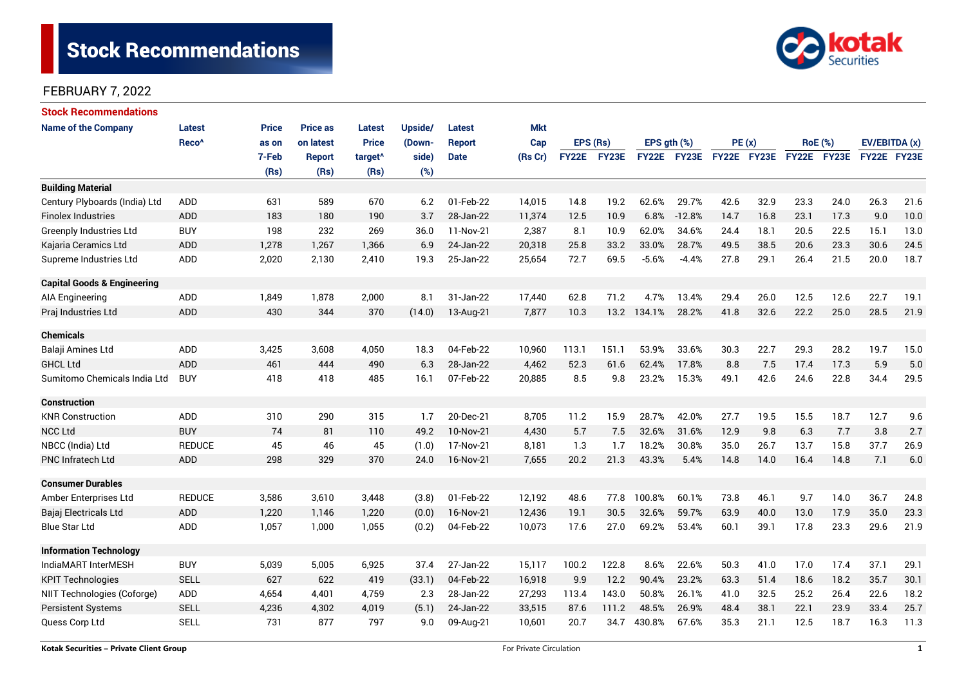

| <b>Stock Recommendations</b>           |                   |              |                 |                     |         |             |            |              |              |             |             |             |      |                |      |               |      |
|----------------------------------------|-------------------|--------------|-----------------|---------------------|---------|-------------|------------|--------------|--------------|-------------|-------------|-------------|------|----------------|------|---------------|------|
| <b>Name of the Company</b>             | <b>Latest</b>     | <b>Price</b> | <b>Price as</b> | Latest              | Upside/ | Latest      | <b>Mkt</b> |              |              |             |             |             |      |                |      |               |      |
|                                        | Reco <sup>^</sup> | as on        | on latest       | <b>Price</b>        | (Down-  | Report      | Cap        | EPS (Rs)     |              | EPS gth (%) |             | PE(x)       |      | <b>RoE</b> (%) |      | EV/EBITDA (x) |      |
|                                        |                   | 7-Feb        | <b>Report</b>   | target <sup>^</sup> | side)   | <b>Date</b> | (Rs Cr)    | <b>FY22E</b> | <b>FY23E</b> |             | FY22E FY23E | FY22E FY23E |      | FY22E FY23E    |      | FY22E FY23E   |      |
|                                        |                   | (Rs)         | (Rs)            | (Rs)                | (%)     |             |            |              |              |             |             |             |      |                |      |               |      |
| <b>Building Material</b>               |                   |              |                 |                     |         |             |            |              |              |             |             |             |      |                |      |               |      |
| Century Plyboards (India) Ltd          | <b>ADD</b>        | 631          | 589             | 670                 | 6.2     | 01-Feb-22   | 14,015     | 14.8         | 19.2         | 62.6%       | 29.7%       | 42.6        | 32.9 | 23.3           | 24.0 | 26.3          | 21.6 |
| <b>Finolex Industries</b>              | <b>ADD</b>        | 183          | 180             | 190                 | 3.7     | 28-Jan-22   | 11,374     | 12.5         | 10.9         | 6.8%        | $-12.8%$    | 14.7        | 16.8 | 23.1           | 17.3 | 9.0           | 10.0 |
| Greenply Industries Ltd                | <b>BUY</b>        | 198          | 232             | 269                 | 36.0    | 11-Nov-21   | 2,387      | 8.1          | 10.9         | 62.0%       | 34.6%       | 24.4        | 18.1 | 20.5           | 22.5 | 15.1          | 13.0 |
| Kajaria Ceramics Ltd                   | <b>ADD</b>        | 1,278        | 1,267           | 1,366               | 6.9     | 24-Jan-22   | 20,318     | 25.8         | 33.2         | 33.0%       | 28.7%       | 49.5        | 38.5 | 20.6           | 23.3 | 30.6          | 24.5 |
| Supreme Industries Ltd                 | ADD               | 2,020        | 2,130           | 2,410               | 19.3    | 25-Jan-22   | 25,654     | 72.7         | 69.5         | $-5.6%$     | $-4.4%$     | 27.8        | 29.1 | 26.4           | 21.5 | 20.0          | 18.7 |
| <b>Capital Goods &amp; Engineering</b> |                   |              |                 |                     |         |             |            |              |              |             |             |             |      |                |      |               |      |
| <b>AIA Engineering</b>                 | ADD               | 1,849        | 1,878           | 2,000               | 8.1     | 31-Jan-22   | 17,440     | 62.8         | 71.2         | 4.7%        | 13.4%       | 29.4        | 26.0 | 12.5           | 12.6 | 22.7          | 19.1 |
| Praj Industries Ltd                    | <b>ADD</b>        | 430          | 344             | 370                 | (14.0)  | 13-Aug-21   | 7.877      | 10.3         |              | 13.2 134.1% | 28.2%       | 41.8        | 32.6 | 22.2           | 25.0 | 28.5          | 21.9 |
| <b>Chemicals</b>                       |                   |              |                 |                     |         |             |            |              |              |             |             |             |      |                |      |               |      |
| Balaji Amines Ltd                      | ADD               | 3,425        | 3,608           | 4,050               | 18.3    | 04-Feb-22   | 10,960     | 113.1        | 151.1        | 53.9%       | 33.6%       | 30.3        | 22.7 | 29.3           | 28.2 | 19.7          | 15.0 |
| <b>GHCL Ltd</b>                        | <b>ADD</b>        | 461          | 444             | 490                 | 6.3     | 28-Jan-22   | 4,462      | 52.3         | 61.6         | 62.4%       | 17.8%       | 8.8         | 7.5  | 17.4           | 17.3 | 5.9           | 5.0  |
| Sumitomo Chemicals India Ltd           | <b>BUY</b>        | 418          | 418             | 485                 | 16.1    | 07-Feb-22   | 20,885     | 8.5          | 9.8          | 23.2%       | 15.3%       | 49.1        | 42.6 | 24.6           | 22.8 | 34.4          | 29.5 |
| <b>Construction</b>                    |                   |              |                 |                     |         |             |            |              |              |             |             |             |      |                |      |               |      |
| <b>KNR Construction</b>                | ADD               | 310          | 290             | 315                 | 1.7     | 20-Dec-21   | 8,705      | 11.2         | 15.9         | 28.7%       | 42.0%       | 27.7        | 19.5 | 15.5           | 18.7 | 12.7          | 9.6  |
| <b>NCC Ltd</b>                         | <b>BUY</b>        | 74           | 81              | 110                 | 49.2    | 10-Nov-21   | 4,430      | 5.7          | 7.5          | 32.6%       | 31.6%       | 12.9        | 9.8  | 6.3            | 7.7  | 3.8           | 2.7  |
| NBCC (India) Ltd                       | <b>REDUCE</b>     | 45           | 46              | 45                  | (1.0)   | 17-Nov-21   | 8,181      | 1.3          | 1.7          | 18.2%       | 30.8%       | 35.0        | 26.7 | 13.7           | 15.8 | 37.7          | 26.9 |
| <b>PNC Infratech Ltd</b>               | <b>ADD</b>        | 298          | 329             | 370                 | 24.0    | 16-Nov-21   | 7,655      | 20.2         | 21.3         | 43.3%       | 5.4%        | 14.8        | 14.0 | 16.4           | 14.8 | 7.1           | 6.0  |
| <b>Consumer Durables</b>               |                   |              |                 |                     |         |             |            |              |              |             |             |             |      |                |      |               |      |
| Amber Enterprises Ltd                  | <b>REDUCE</b>     | 3,586        | 3,610           | 3,448               | (3.8)   | 01-Feb-22   | 12,192     | 48.6         | 77.8         | 100.8%      | 60.1%       | 73.8        | 46.1 | 9.7            | 14.0 | 36.7          | 24.8 |
| Bajaj Electricals Ltd                  | <b>ADD</b>        | 1,220        | 1,146           | 1,220               | (0.0)   | 16-Nov-21   | 12,436     | 19.1         | 30.5         | 32.6%       | 59.7%       | 63.9        | 40.0 | 13.0           | 17.9 | 35.0          | 23.3 |
| <b>Blue Star Ltd</b>                   | ADD               | 1,057        | 1,000           | 1,055               | (0.2)   | 04-Feb-22   | 10,073     | 17.6         | 27.0         | 69.2%       | 53.4%       | 60.1        | 39.1 | 17.8           | 23.3 | 29.6          | 21.9 |
| <b>Information Technology</b>          |                   |              |                 |                     |         |             |            |              |              |             |             |             |      |                |      |               |      |
| IndiaMART InterMESH                    | <b>BUY</b>        | 5,039        | 5,005           | 6,925               | 37.4    | 27-Jan-22   | 15,117     | 100.2        | 122.8        | 8.6%        | 22.6%       | 50.3        | 41.0 | 17.0           | 17.4 | 37.1          | 29.1 |
| <b>KPIT Technologies</b>               | <b>SELL</b>       | 627          | 622             | 419                 | (33.1)  | 04-Feb-22   | 16,918     | 9.9          | 12.2         | 90.4%       | 23.2%       | 63.3        | 51.4 | 18.6           | 18.2 | 35.7          | 30.1 |
| NIIT Technologies (Coforge)            | ADD               | 4,654        | 4,401           | 4,759               | 2.3     | 28-Jan-22   | 27,293     | 113.4        | 143.0        | 50.8%       | 26.1%       | 41.0        | 32.5 | 25.2           | 26.4 | 22.6          | 18.2 |
| <b>Persistent Systems</b>              | <b>SELL</b>       | 4,236        | 4,302           | 4,019               | (5.1)   | 24-Jan-22   | 33,515     | 87.6         | 111.2        | 48.5%       | 26.9%       | 48.4        | 38.1 | 22.1           | 23.9 | 33.4          | 25.7 |
| Quess Corp Ltd                         | <b>SELL</b>       | 731          | 877             | 797                 | 9.0     | 09-Aug-21   | 10,601     | 20.7         | 34.7         | 430.8%      | 67.6%       | 35.3        | 21.1 | 12.5           | 18.7 | 16.3          | 11.3 |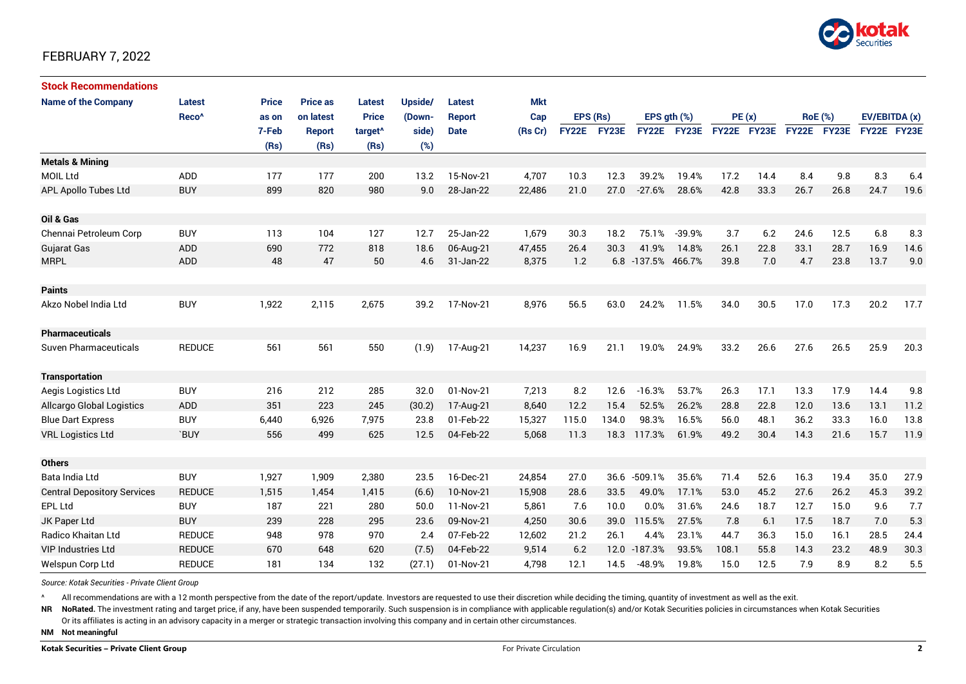

| <b>Stock Recommendations</b>       |                   |              |                 |                     |         |               |            |          |             |                    |             |             |      |                |             |               |      |
|------------------------------------|-------------------|--------------|-----------------|---------------------|---------|---------------|------------|----------|-------------|--------------------|-------------|-------------|------|----------------|-------------|---------------|------|
| <b>Name of the Company</b>         | <b>Latest</b>     | <b>Price</b> | <b>Price as</b> | <b>Latest</b>       | Upside/ | <b>Latest</b> | <b>Mkt</b> |          |             |                    |             |             |      |                |             |               |      |
|                                    | Reco <sup>^</sup> | as on        | on latest       | <b>Price</b>        | (Down-  | <b>Report</b> | Cap        | EPS (Rs) |             | EPS $qth$ $(\%)$   |             | PE(x)       |      | <b>RoE</b> (%) |             | EV/EBITDA (x) |      |
|                                    |                   | 7-Feb        | <b>Report</b>   | target <sup>^</sup> | side)   | <b>Date</b>   | (Rs Cr)    |          | FY22E FY23E |                    | FY22E FY23E | FY22E FY23E |      |                | FY22E FY23E | FY22E FY23E   |      |
|                                    |                   | (Rs)         | (Rs)            | (Rs)                | (%)     |               |            |          |             |                    |             |             |      |                |             |               |      |
| <b>Metals &amp; Mining</b>         |                   |              |                 |                     |         |               |            |          |             |                    |             |             |      |                |             |               |      |
| <b>MOIL Ltd</b>                    | ADD               | 177          | 177             | 200                 | 13.2    | 15-Nov-21     | 4,707      | 10.3     | 12.3        | 39.2%              | 19.4%       | 17.2        | 14.4 | 8.4            | 9.8         | 8.3           | 6.4  |
| <b>APL Apollo Tubes Ltd</b>        | <b>BUY</b>        | 899          | 820             | 980                 | 9.0     | 28-Jan-22     | 22,486     | 21.0     | 27.0        | $-27.6%$           | 28.6%       | 42.8        | 33.3 | 26.7           | 26.8        | 24.7          | 19.6 |
|                                    |                   |              |                 |                     |         |               |            |          |             |                    |             |             |      |                |             |               |      |
| Oil & Gas                          |                   |              |                 |                     |         |               |            |          |             |                    |             |             |      |                |             |               |      |
| Chennai Petroleum Corp             | <b>BUY</b>        | 113          | 104             | 127                 | 12.7    | 25-Jan-22     | 1,679      | 30.3     | 18.2        | 75.1%              | $-39.9%$    | 3.7         | 6.2  | 24.6           | 12.5        | 6.8           | 8.3  |
| <b>Gujarat Gas</b>                 | ADD               | 690          | 772             | 818                 | 18.6    | 06-Aug-21     | 47,455     | 26.4     | 30.3        | 41.9%              | 14.8%       | 26.1        | 22.8 | 33.1           | 28.7        | 16.9          | 14.6 |
| <b>MRPL</b>                        | <b>ADD</b>        | 48           | 47              | 50                  | 4.6     | 31-Jan-22     | 8,375      | 1.2      |             | 6.8 -137.5% 466.7% |             | 39.8        | 7.0  | 4.7            | 23.8        | 13.7          | 9.0  |
|                                    |                   |              |                 |                     |         |               |            |          |             |                    |             |             |      |                |             |               |      |
| <b>Paints</b>                      |                   |              |                 |                     |         |               |            |          |             |                    |             |             |      |                |             |               |      |
| Akzo Nobel India Ltd               | <b>BUY</b>        | 1,922        | 2,115           | 2,675               | 39.2    | 17-Nov-21     | 8,976      | 56.5     | 63.0        | 24.2%              | 11.5%       | 34.0        | 30.5 | 17.0           | 17.3        | 20.2          | 17.7 |
| <b>Pharmaceuticals</b>             |                   |              |                 |                     |         |               |            |          |             |                    |             |             |      |                |             |               |      |
| Suven Pharmaceuticals              | <b>REDUCE</b>     | 561          | 561             | 550                 | (1.9)   | 17-Aug-21     | 14,237     | 16.9     | 21.1        | 19.0%              | 24.9%       | 33.2        | 26.6 | 27.6           | 26.5        | 25.9          | 20.3 |
| <b>Transportation</b>              |                   |              |                 |                     |         |               |            |          |             |                    |             |             |      |                |             |               |      |
| Aegis Logistics Ltd                | <b>BUY</b>        | 216          | 212             | 285                 | 32.0    | 01-Nov-21     | 7,213      | 8.2      | 12.6        | $-16.3%$           | 53.7%       | 26.3        | 17.1 | 13.3           | 17.9        | 14.4          | 9.8  |
| <b>Allcargo Global Logistics</b>   | <b>ADD</b>        | 351          | 223             | 245                 | (30.2)  | 17-Aug-21     | 8,640      | 12.2     | 15.4        | 52.5%              | 26.2%       | 28.8        | 22.8 | 12.0           | 13.6        | 13.1          | 11.2 |
| <b>Blue Dart Express</b>           | <b>BUY</b>        | 6,440        | 6,926           | 7,975               | 23.8    | 01-Feb-22     | 15,327     | 115.0    | 134.0       | 98.3%              | 16.5%       | 56.0        | 48.1 | 36.2           | 33.3        | 16.0          | 13.8 |
| <b>VRL Logistics Ltd</b>           | `BUY              | 556          | 499             | 625                 | 12.5    | 04-Feb-22     | 5,068      | 11.3     | 18.3        | 117.3%             | 61.9%       | 49.2        | 30.4 | 14.3           | 21.6        | 15.7          | 11.9 |
|                                    |                   |              |                 |                     |         |               |            |          |             |                    |             |             |      |                |             |               |      |
| <b>Others</b>                      |                   |              |                 |                     |         |               |            |          |             |                    |             |             |      |                |             |               |      |
| Bata India Ltd                     | <b>BUY</b>        | 1,927        | 1,909           | 2,380               | 23.5    | 16-Dec-21     | 24,854     | 27.0     | 36.6        | $-509.1%$          | 35.6%       | 71.4        | 52.6 | 16.3           | 19.4        | 35.0          | 27.9 |
| <b>Central Depository Services</b> | <b>REDUCE</b>     | 1,515        | 1,454           | 1,415               | (6.6)   | 10-Nov-21     | 15,908     | 28.6     | 33.5        | 49.0%              | 17.1%       | 53.0        | 45.2 | 27.6           | 26.2        | 45.3          | 39.2 |
| <b>EPL Ltd</b>                     | <b>BUY</b>        | 187          | 221             | 280                 | 50.0    | 11-Nov-21     | 5,861      | 7.6      | 10.0        | 0.0%               | 31.6%       | 24.6        | 18.7 | 12.7           | 15.0        | 9.6           | 7.7  |
| JK Paper Ltd                       | <b>BUY</b>        | 239          | 228             | 295                 | 23.6    | 09-Nov-21     | 4,250      | 30.6     | 39.0        | 115.5%             | 27.5%       | 7.8         | 6.1  | 17.5           | 18.7        | 7.0           | 5.3  |
| Radico Khaitan Ltd                 | <b>REDUCE</b>     | 948          | 978             | 970                 | 2.4     | 07-Feb-22     | 12,602     | 21.2     | 26.1        | 4.4%               | 23.1%       | 44.7        | 36.3 | 15.0           | 16.1        | 28.5          | 24.4 |
| <b>VIP Industries Ltd</b>          | <b>REDUCE</b>     | 670          | 648             | 620                 | (7.5)   | 04-Feb-22     | 9,514      | 6.2      | 12.0        | $-187.3%$          | 93.5%       | 108.1       | 55.8 | 14.3           | 23.2        | 48.9          | 30.3 |
| Welspun Corp Ltd                   | <b>REDUCE</b>     | 181          | 134             | 132                 | (27.1)  | 01-Nov-21     | 4,798      | 12.1     | 14.5        | $-48.9%$           | 19.8%       | 15.0        | 12.5 | 7.9            | 8.9         | 8.2           | 5.5  |

*Source: Kotak Securities - Private Client Group*

All recommendations are with a 12 month perspective from the date of the report/update. Investors are requested to use their discretion while deciding the timing, quantity of investment as well as the exit.

NR NoRated. The investment rating and target price, if any, have been suspended temporarily. Such suspension is in compliance with applicable regulation(s) and/or Kotak Securities policies in circumstances when Kotak Secur Or its affiliates is acting in an advisory capacity in a merger or strategic transaction involving this company and in certain other circumstances.

**NM Not meaningful**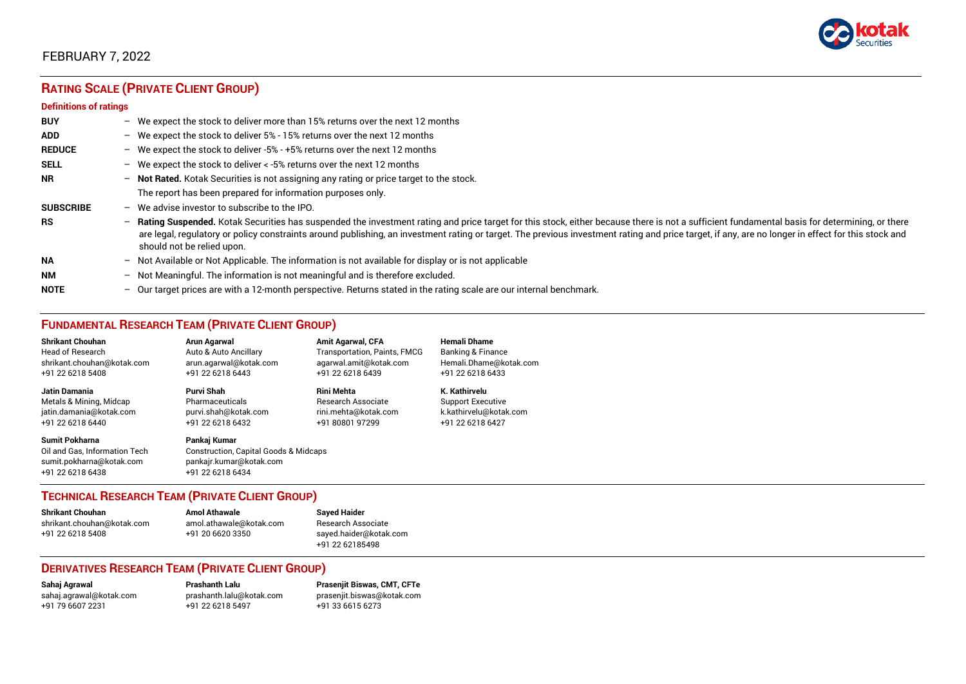

# **RATING SCALE (PRIVATE CLIENT GROUP)**

#### **Definitions of ratings**

| <b>BUY</b>       |   | - We expect the stock to deliver more than 15% returns over the next 12 months                                                                                                                                                                                                                                                                                                                                                     |
|------------------|---|------------------------------------------------------------------------------------------------------------------------------------------------------------------------------------------------------------------------------------------------------------------------------------------------------------------------------------------------------------------------------------------------------------------------------------|
| <b>ADD</b>       |   | - We expect the stock to deliver 5% - 15% returns over the next 12 months                                                                                                                                                                                                                                                                                                                                                          |
| <b>REDUCE</b>    |   | - We expect the stock to deliver -5% - +5% returns over the next 12 months                                                                                                                                                                                                                                                                                                                                                         |
| <b>SELL</b>      |   | - We expect the stock to deliver $\lt$ -5% returns over the next 12 months                                                                                                                                                                                                                                                                                                                                                         |
| <b>NR</b>        |   | - Not Rated. Kotak Securities is not assigning any rating or price target to the stock.                                                                                                                                                                                                                                                                                                                                            |
|                  |   | The report has been prepared for information purposes only.                                                                                                                                                                                                                                                                                                                                                                        |
| <b>SUBSCRIBE</b> |   | $-$ We advise investor to subscribe to the IPO.                                                                                                                                                                                                                                                                                                                                                                                    |
| <b>RS</b>        |   | - Rating Suspended. Kotak Securities has suspended the investment rating and price target for this stock, either because there is not a sufficient fundamental basis for determining, or there<br>are legal, regulatory or policy constraints around publishing, an investment rating or target. The previous investment rating and price target, if any, are no longer in effect for this stock and<br>should not be relied upon. |
| <b>NA</b>        |   | $-$ Not Available or Not Applicable. The information is not available for display or is not applicable                                                                                                                                                                                                                                                                                                                             |
| <b>NM</b>        |   | - Not Meaningful. The information is not meaningful and is therefore excluded.                                                                                                                                                                                                                                                                                                                                                     |
| <b>NOTE</b>      | - | Our target prices are with a 12-month perspective. Returns stated in the rating scale are our internal benchmark.                                                                                                                                                                                                                                                                                                                  |

## **FUNDAMENTAL RESEARCH TEAM (PRIVATE CLIENT GROUP)**

| <b>Shrikant Chouhan</b>                                                                                | Arun Agarwal                                                                                                    | <b>Amit Agarwal, CFA</b>     | <b>Hemali Dhame</b>      |
|--------------------------------------------------------------------------------------------------------|-----------------------------------------------------------------------------------------------------------------|------------------------------|--------------------------|
| <b>Head of Research</b>                                                                                | Auto & Auto Ancillary                                                                                           | Transportation, Paints, FMCG | Banking & Finance        |
| shrikant.chouhan@kotak.com                                                                             | arun.agarwal@kotak.com                                                                                          | agarwal.amit@kotak.com       | Hemali.Dhame@kotak.com   |
| +91 22 6218 5408                                                                                       | +91 22 6218 6443                                                                                                | +91 22 6218 6439             | +91 22 6218 6433         |
| <b>Jatin Damania</b>                                                                                   | Purvi Shah                                                                                                      | <b>Rini Mehta</b>            | K. Kathirvelu            |
| Metals & Mining, Midcap                                                                                | Pharmaceuticals                                                                                                 | Research Associate           | <b>Support Executive</b> |
| jatin.damania@kotak.com                                                                                | purvi.shah@kotak.com                                                                                            | rini.mehta@kotak.com         | k.kathirvelu@kotak.com   |
| +91 22 6218 6440                                                                                       | +91 22 6218 6432                                                                                                | +91 80801 97299              | +91 22 6218 6427         |
| <b>Sumit Pokharna</b><br>Oil and Gas. Information Tech<br>sumit.pokharna@kotak.com<br>+91 22 6218 6438 | Pankaj Kumar<br><b>Construction, Capital Goods &amp; Midcaps</b><br>pankajr.kumar@kotak.com<br>+91 22 6218 6434 |                              |                          |

## **TECHNICAL RESEARCH TEAM (PRIVATE CLIENT GROUP)**

| <b>Shrikant Chouhan</b>    | <b>Amol Athawale</b>    |  |
|----------------------------|-------------------------|--|
| shrikant.chouhan@kotak.com | amol.athawale@kotak.com |  |
| +91 22 6218 5408           | +91 20 6620 3350        |  |
|                            |                         |  |

#### **Sayed Haider** Research Associate [sayed.haider@kotak.com](mailto:sayed.haider@kotak.com) +91 22 62185498

## **DERIVATIVES RESEARCH TEAM (PRIVATE CLIENT GROUP)**

+91 22 6218 5497 +91 33 6615 6273

**Sahaj Agrawal Prashanth Lalu Prasenjit Biswas, CMT, CFTe** [sahaj.agrawal@kotak.com](mailto:sahaj.agrawal@kotak.com) [prashanth.lalu@kotak.com](mailto:prashanth.lalu@kotak.com) [prasenjit.biswas@kotak.com](mailto:prasenjit.biswas@kotak.com)